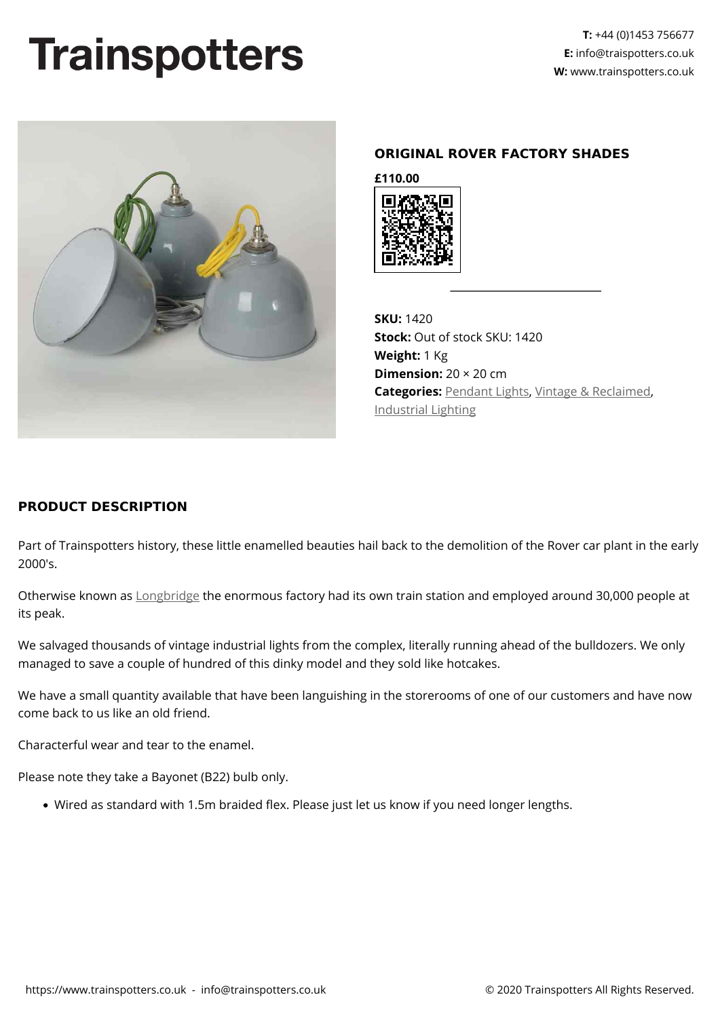## **Trainspotters**



## **ORIGINAL ROVER FACTORY SHADES**

**£110.00**



**SKU:** 1420 **Stock:** Out of stock SKU: 1420 **Weight:** 1 Kg **Dimension:** 20 × 20 cm **Categories:** [Pendant Lights,](https://www.trainspotters.co.uk/pendant-lights/) [Vintage & Reclaimed](https://www.trainspotters.co.uk/vintage-reclaimed/), [Industrial Lighting](https://www.trainspotters.co.uk/industrial/)

## **PRODUCT DESCRIPTION**

Part of Trainspotters history, these little enamelled beauties hail back to the demolition of the Rover car plant in the early 2000's.

Otherwise known as [Longbridge](https://en.wikipedia.org/wiki/Longbridge_plant) the enormous factory had its own train station and employed around 30,000 people at its peak.

We salvaged thousands of vintage industrial lights from the complex, literally running ahead of the bulldozers. We only managed to save a couple of hundred of this dinky model and they sold like hotcakes.

We have a small quantity available that have been languishing in the storerooms of one of our customers and have now come back to us like an old friend.

Characterful wear and tear to the enamel.

Please note they take a Bayonet (B22) bulb only.

Wired as standard with 1.5m braided flex. Please just let us know if you need longer lengths.